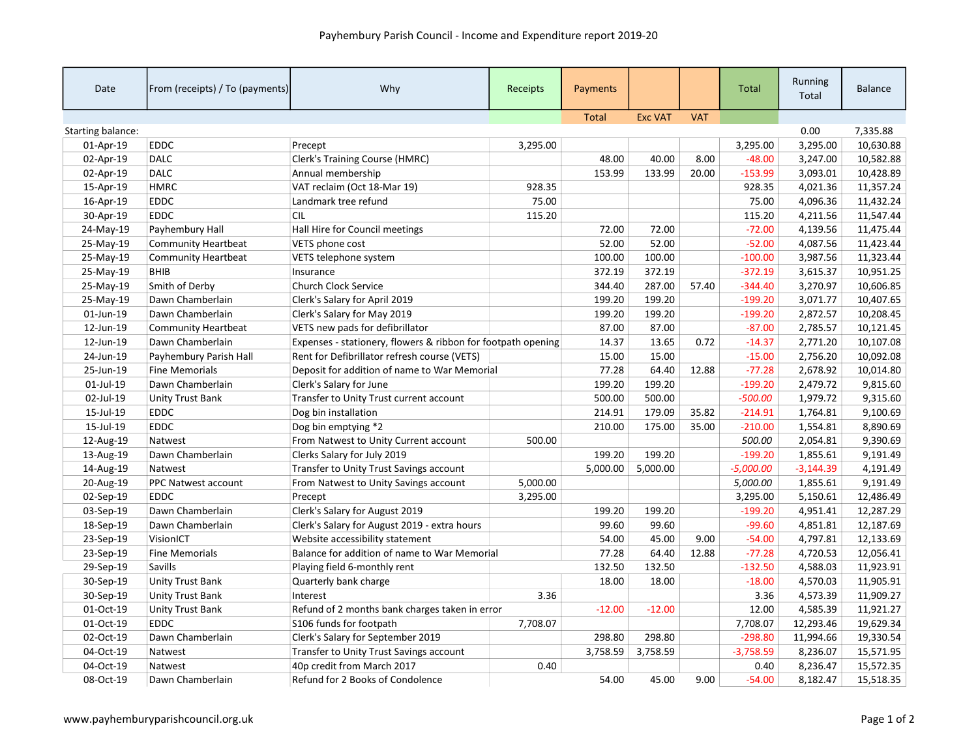| Date              | From (receipts) / To (payments) | Why                                                          | Receipts | Payments     |                |            | <b>Total</b> | Running<br>Total | <b>Balance</b> |
|-------------------|---------------------------------|--------------------------------------------------------------|----------|--------------|----------------|------------|--------------|------------------|----------------|
|                   |                                 |                                                              |          | <b>Total</b> | <b>Exc VAT</b> | <b>VAT</b> |              |                  |                |
| Starting balance: |                                 |                                                              |          |              |                |            |              | 0.00             | 7,335.88       |
| 01-Apr-19         | <b>EDDC</b>                     | Precept                                                      | 3,295.00 |              |                |            | 3,295.00     | 3,295.00         | 10,630.88      |
| 02-Apr-19         | <b>DALC</b>                     | <b>Clerk's Training Course (HMRC)</b>                        |          | 48.00        | 40.00          | 8.00       | $-48.00$     | 3,247.00         | 10,582.88      |
| 02-Apr-19         | <b>DALC</b>                     | Annual membership                                            |          | 153.99       | 133.99         | 20.00      | $-153.99$    | 3,093.01         | 10,428.89      |
| 15-Apr-19         | <b>HMRC</b>                     | VAT reclaim (Oct 18-Mar 19)                                  | 928.35   |              |                |            | 928.35       | 4,021.36         | 11,357.24      |
| 16-Apr-19         | <b>EDDC</b>                     | Landmark tree refund                                         | 75.00    |              |                |            | 75.00        | 4,096.36         | 11,432.24      |
| 30-Apr-19         | <b>EDDC</b>                     | <b>CIL</b>                                                   | 115.20   |              |                |            | 115.20       | 4,211.56         | 11,547.44      |
| 24-May-19         | Payhembury Hall                 | Hall Hire for Council meetings                               |          | 72.00        | 72.00          |            | $-72.00$     | 4,139.56         | 11,475.44      |
| 25-May-19         | <b>Community Heartbeat</b>      | VETS phone cost                                              |          | 52.00        | 52.00          |            | $-52.00$     | 4,087.56         | 11,423.44      |
| 25-May-19         | <b>Community Heartbeat</b>      | VETS telephone system                                        |          | 100.00       | 100.00         |            | $-100.00$    | 3,987.56         | 11,323.44      |
| 25-May-19         | <b>BHIB</b>                     | Insurance                                                    |          | 372.19       | 372.19         |            | $-372.19$    | 3,615.37         | 10,951.25      |
| 25-May-19         | Smith of Derby                  | <b>Church Clock Service</b>                                  |          | 344.40       | 287.00         | 57.40      | $-344.40$    | 3,270.97         | 10,606.85      |
| 25-May-19         | Dawn Chamberlain                | Clerk's Salary for April 2019                                |          | 199.20       | 199.20         |            | $-199.20$    | 3,071.77         | 10,407.65      |
| 01-Jun-19         | Dawn Chamberlain                | Clerk's Salary for May 2019                                  |          | 199.20       | 199.20         |            | $-199.20$    | 2,872.57         | 10,208.45      |
| 12-Jun-19         | <b>Community Heartbeat</b>      | VETS new pads for defibrillator                              |          | 87.00        | 87.00          |            | $-87.00$     | 2,785.57         | 10,121.45      |
| 12-Jun-19         | Dawn Chamberlain                | Expenses - stationery, flowers & ribbon for footpath opening |          | 14.37        | 13.65          | 0.72       | $-14.37$     | 2,771.20         | 10,107.08      |
| 24-Jun-19         | Payhembury Parish Hall          | Rent for Defibrillator refresh course (VETS)                 |          | 15.00        | 15.00          |            | $-15.00$     | 2,756.20         | 10,092.08      |
| 25-Jun-19         | <b>Fine Memorials</b>           | Deposit for addition of name to War Memorial                 |          | 77.28        | 64.40          | 12.88      | $-77.28$     | 2,678.92         | 10,014.80      |
| 01-Jul-19         | Dawn Chamberlain                | Clerk's Salary for June                                      |          | 199.20       | 199.20         |            | $-199.20$    | 2,479.72         | 9,815.60       |
| 02-Jul-19         | Unity Trust Bank                | Transfer to Unity Trust current account                      |          | 500.00       | 500.00         |            | $-500.00$    | 1,979.72         | 9,315.60       |
| 15-Jul-19         | <b>EDDC</b>                     | Dog bin installation                                         |          | 214.91       | 179.09         | 35.82      | $-214.91$    | 1,764.81         | 9,100.69       |
| 15-Jul-19         | <b>EDDC</b>                     | Dog bin emptying *2                                          |          | 210.00       | 175.00         | 35.00      | $-210.00$    | 1,554.81         | 8,890.69       |
| 12-Aug-19         | Natwest                         | From Natwest to Unity Current account                        | 500.00   |              |                |            | 500.00       | 2,054.81         | 9,390.69       |
| 13-Aug-19         | Dawn Chamberlain                | Clerks Salary for July 2019                                  |          | 199.20       | 199.20         |            | $-199.20$    | 1,855.61         | 9,191.49       |
| 14-Aug-19         | Natwest                         | Transfer to Unity Trust Savings account                      |          | 5,000.00     | 5,000.00       |            | $-5,000.00$  | $-3,144.39$      | 4,191.49       |
| 20-Aug-19         | PPC Natwest account             | From Natwest to Unity Savings account                        | 5,000.00 |              |                |            | 5,000.00     | 1,855.61         | 9,191.49       |
| 02-Sep-19         | <b>EDDC</b>                     | Precept                                                      | 3,295.00 |              |                |            | 3,295.00     | 5,150.61         | 12,486.49      |
| 03-Sep-19         | Dawn Chamberlain                | Clerk's Salary for August 2019                               |          | 199.20       | 199.20         |            | $-199.20$    | 4,951.41         | 12,287.29      |
| 18-Sep-19         | Dawn Chamberlain                | Clerk's Salary for August 2019 - extra hours                 |          | 99.60        | 99.60          |            | $-99.60$     | 4,851.81         | 12,187.69      |
| 23-Sep-19         | VisionICT                       | Website accessibility statement                              |          | 54.00        | 45.00          | 9.00       | $-54.00$     | 4,797.81         | 12,133.69      |
| 23-Sep-19         | <b>Fine Memorials</b>           | Balance for addition of name to War Memorial                 |          | 77.28        | 64.40          | 12.88      | $-77.28$     | 4,720.53         | 12,056.41      |
| 29-Sep-19         | Savills                         | Playing field 6-monthly rent                                 |          | 132.50       | 132.50         |            | $-132.50$    | 4,588.03         | 11,923.91      |
| 30-Sep-19         | <b>Unity Trust Bank</b>         | Quarterly bank charge                                        |          | 18.00        | 18.00          |            | $-18.00$     | 4,570.03         | 11,905.91      |
| 30-Sep-19         | Unity Trust Bank                | Interest                                                     | 3.36     |              |                |            | 3.36         | 4,573.39         | 11,909.27      |
| 01-Oct-19         | <b>Unity Trust Bank</b>         | Refund of 2 months bank charges taken in error               |          | $-12.00$     | $-12.00$       |            | 12.00        | 4,585.39         | 11,921.27      |
| 01-Oct-19         | EDDC                            | S106 funds for footpath                                      | 7,708.07 |              |                |            | 7,708.07     | 12,293.46        | 19,629.34      |
| 02-Oct-19         | Dawn Chamberlain                | Clerk's Salary for September 2019                            |          | 298.80       | 298.80         |            | $-298.80$    | 11,994.66        | 19,330.54      |
| 04-Oct-19         | Natwest                         | Transfer to Unity Trust Savings account                      |          | 3,758.59     | 3,758.59       |            | $-3,758.59$  | 8,236.07         | 15,571.95      |
| 04-Oct-19         | Natwest                         | 40p credit from March 2017                                   | 0.40     |              |                |            | 0.40         | 8,236.47         | 15,572.35      |
| 08-Oct-19         | Dawn Chamberlain                | Refund for 2 Books of Condolence                             |          | 54.00        | 45.00          | 9.00       | $-54.00$     | 8,182.47         | 15,518.35      |